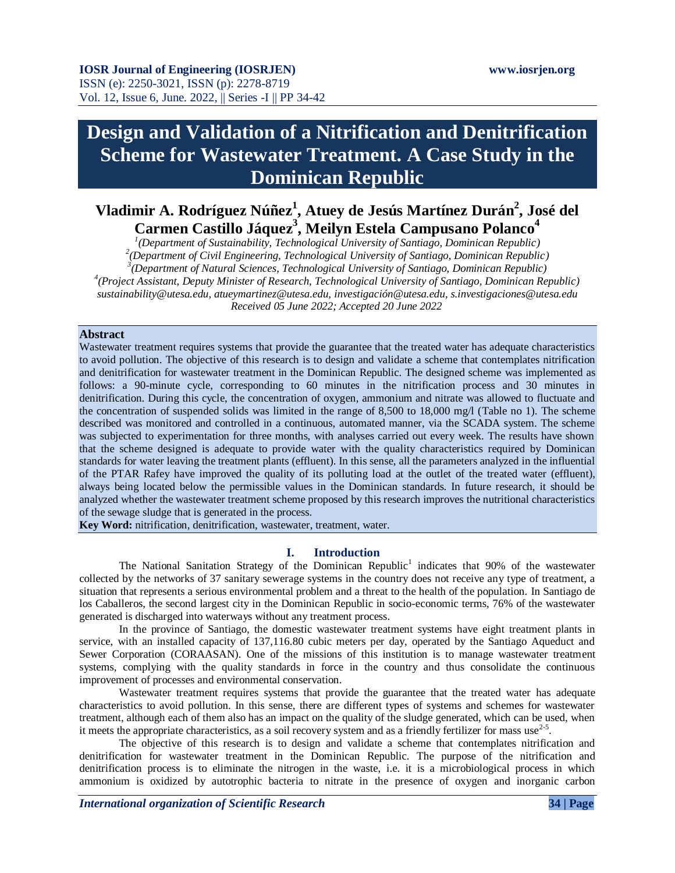# **Design and Validation of a Nitrification and Denitrification Scheme for Wastewater Treatment. A Case Study in the Dominican Republic**

# **Vladimir A. Rodríguez Núñez<sup>1</sup> , Atuey de Jesús Martínez Durán<sup>2</sup> , José del Carmen Castillo Jáquez<sup>3</sup> , Meilyn Estela Campusano Polanco<sup>4</sup>**

 *(Department of Sustainability, Technological University of Santiago, Dominican Republic) (Department of Civil Engineering, Technological University of Santiago, Dominican Republic) (Department of Natural Sciences, Technological University of Santiago, Dominican Republic) (Project Assistant, Deputy Minister of Research, Technological University of Santiago, Dominican Republic) sustainability@utesa.edu, atueymartinez@utesa.edu, investigación@utesa.edu, s.investigaciones@utesa.edu Received 05 June 2022; Accepted 20 June 2022*

# **Abstract**

Wastewater treatment requires systems that provide the guarantee that the treated water has adequate characteristics to avoid pollution. The objective of this research is to design and validate a scheme that contemplates nitrification and denitrification for wastewater treatment in the Dominican Republic. The designed scheme was implemented as follows: a 90-minute cycle, corresponding to 60 minutes in the nitrification process and 30 minutes in denitrification. During this cycle, the concentration of oxygen, ammonium and nitrate was allowed to fluctuate and the concentration of suspended solids was limited in the range of 8,500 to 18,000 mg/l (Table no 1). The scheme described was monitored and controlled in a continuous, automated manner, via the SCADA system. The scheme was subjected to experimentation for three months, with analyses carried out every week. The results have shown that the scheme designed is adequate to provide water with the quality characteristics required by Dominican standards for water leaving the treatment plants (effluent). In this sense, all the parameters analyzed in the influential of the PTAR Rafey have improved the quality of its polluting load at the outlet of the treated water (effluent), always being located below the permissible values in the Dominican standards. In future research, it should be analyzed whether the wastewater treatment scheme proposed by this research improves the nutritional characteristics of the sewage sludge that is generated in the process.

**Key Word:** nitrification, denitrification, wastewater, treatment, water.

# **I. Introduction**

The National Sanitation Strategy of the Dominican Republic<sup>1</sup> indicates that 90% of the wastewater collected by the networks of 37 sanitary sewerage systems in the country does not receive any type of treatment, a situation that represents a serious environmental problem and a threat to the health of the population. In Santiago de los Caballeros, the second largest city in the Dominican Republic in socio-economic terms, 76% of the wastewater generated is discharged into waterways without any treatment process.

In the province of Santiago, the domestic wastewater treatment systems have eight treatment plants in service, with an installed capacity of 137,116.80 cubic meters per day, operated by the Santiago Aqueduct and Sewer Corporation (CORAASAN). One of the missions of this institution is to manage wastewater treatment systems, complying with the quality standards in force in the country and thus consolidate the continuous improvement of processes and environmental conservation.

Wastewater treatment requires systems that provide the guarantee that the treated water has adequate characteristics to avoid pollution. In this sense, there are different types of systems and schemes for wastewater treatment, although each of them also has an impact on the quality of the sludge generated, which can be used, when it meets the appropriate characteristics, as a soil recovery system and as a friendly fertilizer for mass use<sup>2-5</sup>.

The objective of this research is to design and validate a scheme that contemplates nitrification and denitrification for wastewater treatment in the Dominican Republic. The purpose of the nitrification and denitrification process is to eliminate the nitrogen in the waste, i.e. it is a microbiological process in which ammonium is oxidized by autotrophic bacteria to nitrate in the presence of oxygen and inorganic carbon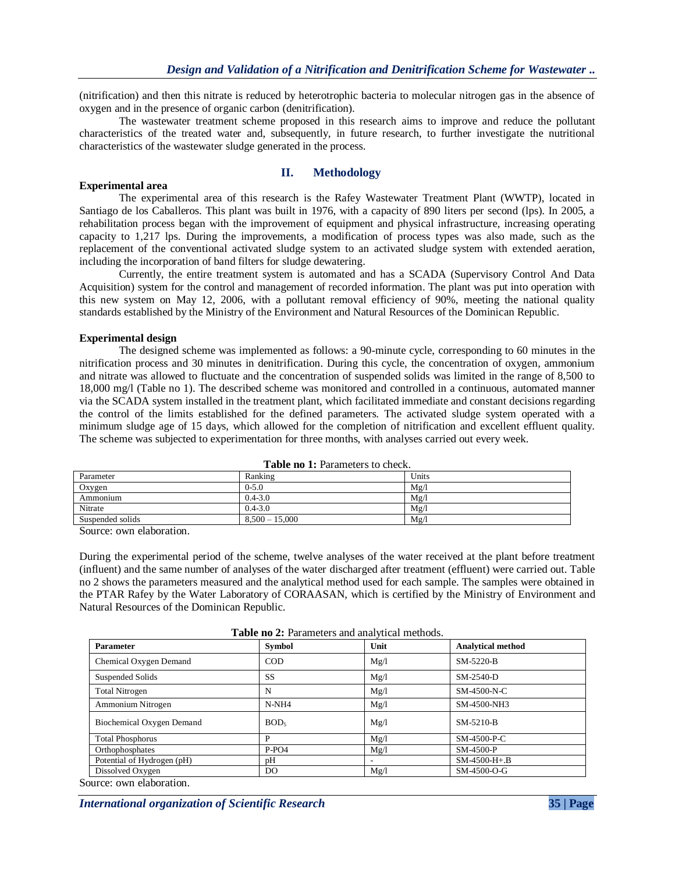(nitrification) and then this nitrate is reduced by heterotrophic bacteria to molecular nitrogen gas in the absence of oxygen and in the presence of organic carbon (denitrification).

The wastewater treatment scheme proposed in this research aims to improve and reduce the pollutant characteristics of the treated water and, subsequently, in future research, to further investigate the nutritional characteristics of the wastewater sludge generated in the process.

# **Experimental area**

# **II. Methodology**

The experimental area of this research is the Rafey Wastewater Treatment Plant (WWTP), located in Santiago de los Caballeros. This plant was built in 1976, with a capacity of 890 liters per second (lps). In 2005, a rehabilitation process began with the improvement of equipment and physical infrastructure, increasing operating capacity to 1,217 lps. During the improvements, a modification of process types was also made, such as the replacement of the conventional activated sludge system to an activated sludge system with extended aeration, including the incorporation of band filters for sludge dewatering.

Currently, the entire treatment system is automated and has a SCADA (Supervisory Control And Data Acquisition) system for the control and management of recorded information. The plant was put into operation with this new system on May 12, 2006, with a pollutant removal efficiency of 90%, meeting the national quality standards established by the Ministry of the Environment and Natural Resources of the Dominican Republic.

#### **Experimental design**

The designed scheme was implemented as follows: a 90-minute cycle, corresponding to 60 minutes in the nitrification process and 30 minutes in denitrification. During this cycle, the concentration of oxygen, ammonium and nitrate was allowed to fluctuate and the concentration of suspended solids was limited in the range of 8,500 to 18,000 mg/l (Table no 1). The described scheme was monitored and controlled in a continuous, automated manner via the SCADA system installed in the treatment plant, which facilitated immediate and constant decisions regarding the control of the limits established for the defined parameters. The activated sludge system operated with a minimum sludge age of 15 days, which allowed for the completion of nitrification and excellent effluent quality. The scheme was subjected to experimentation for three months, with analyses carried out every week.

| <b>Table to 1.</b> I alaments to effect. |                  |       |  |  |
|------------------------------------------|------------------|-------|--|--|
| Parameter                                | Ranking          | Units |  |  |
| Oxygen                                   | $0 - 5.0$        | Mg/   |  |  |
| Ammonium                                 | $0.4 - 3.0$      | Mg/   |  |  |
| Nitrate                                  | $0.4 - 3.0$      | Mg/   |  |  |
| Suspended solids                         | $8,500 - 15,000$ | Mg/   |  |  |

**Table no 1:** Parameters to check.

Source: own elaboration.

During the experimental period of the scheme, twelve analyses of the water received at the plant before treatment (influent) and the same number of analyses of the water discharged after treatment (effluent) were carried out. Table no 2 shows the parameters measured and the analytical method used for each sample. The samples were obtained in the PTAR Rafey by the Water Laboratory of CORAASAN, which is certified by the Ministry of Environment and Natural Resources of the Dominican Republic.

|  | Table no 2: Parameters and analytical methods. |  |  |
|--|------------------------------------------------|--|--|
|--|------------------------------------------------|--|--|

| <b>Parameter</b>           | <b>Symbol</b>    | Unit | <b>Analytical method</b> |
|----------------------------|------------------|------|--------------------------|
| Chemical Oxygen Demand     | <b>COD</b>       | Mg/l | SM-5220-B                |
| Suspended Solids           | <b>SS</b>        | Mg/l | SM-2540-D                |
| <b>Total Nitrogen</b>      | N                | Mg/l | SM-4500-N-C              |
| Ammonium Nitrogen          | $N-NH4$          | Mg/l | SM-4500-NH3              |
| Biochemical Oxygen Demand  | BOD <sub>5</sub> | Mg/l | SM-5210-B                |
| <b>Total Phosphorus</b>    | P                | Mg/l | SM-4500-P-C              |
| Orthophosphates            | $P-PO4$          | Mg/l | SM-4500-P                |
| Potential of Hydrogen (pH) | pН               |      | $SM-4500-H+.B$           |
| Dissolved Oxygen           | DO.              | Mg/l | SM-4500-O-G              |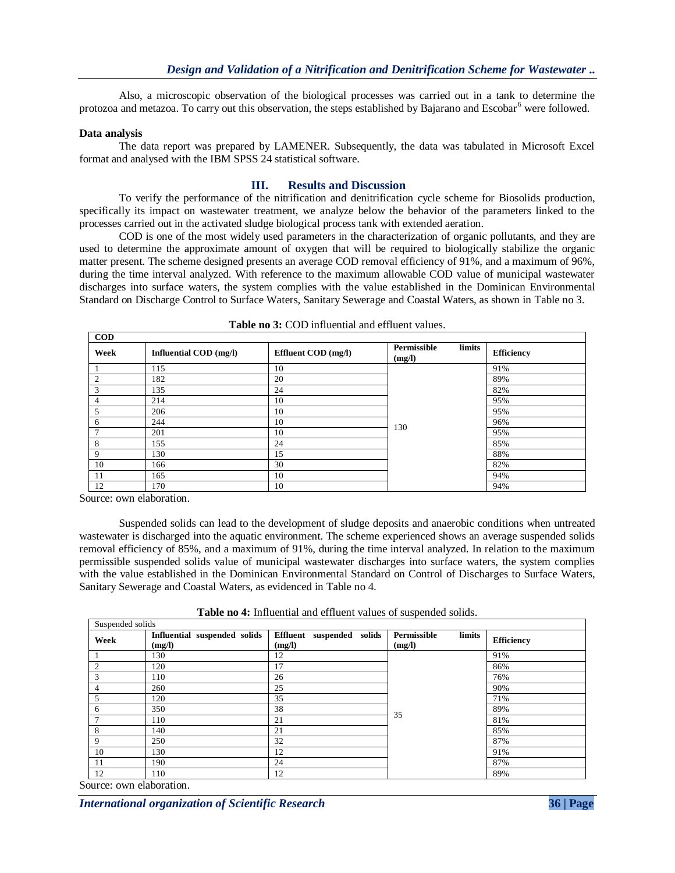Also, a microscopic observation of the biological processes was carried out in a tank to determine the protozoa and metazoa. To carry out this observation, the steps established by Bajarano and Escobar<sup>6</sup> were followed.

## **Data analysis**

The data report was prepared by LAMENER. Subsequently, the data was tabulated in Microsoft Excel format and analysed with the IBM SPSS 24 statistical software.

# **III. Results and Discussion**

To verify the performance of the nitrification and denitrification cycle scheme for Biosolids production, specifically its impact on wastewater treatment, we analyze below the behavior of the parameters linked to the processes carried out in the activated sludge biological process tank with extended aeration.

COD is one of the most widely used parameters in the characterization of organic pollutants, and they are used to determine the approximate amount of oxygen that will be required to biologically stabilize the organic matter present. The scheme designed presents an average COD removal efficiency of 91%, and a maximum of 96%, during the time interval analyzed. With reference to the maximum allowable COD value of municipal wastewater discharges into surface waters, the system complies with the value established in the Dominican Environmental Standard on Discharge Control to Surface Waters, Sanitary Sewerage and Coastal Waters, as shown in Table no 3.

| <b>COD</b>     |                               |                     |                                 |                   |  |  |  |
|----------------|-------------------------------|---------------------|---------------------------------|-------------------|--|--|--|
| Week           | <b>Influential COD</b> (mg/l) | Effluent COD (mg/l) | Permissible<br>limits<br>(mg/l) | <b>Efficiency</b> |  |  |  |
|                | 115                           | 10                  |                                 | 91%               |  |  |  |
| $\overline{2}$ | 182                           | 20                  |                                 | 89%               |  |  |  |
| 3              | 135                           | 24                  |                                 | 82%               |  |  |  |
| 4              | 214                           | 10                  |                                 | 95%               |  |  |  |
| 5              | 206                           | 10                  |                                 | 95%               |  |  |  |
| 6              | 244                           | 10                  | 130                             | 96%               |  |  |  |
| $\overline{ }$ | 201                           | 10                  |                                 | 95%               |  |  |  |
| 8              | 155                           | 24                  |                                 | 85%               |  |  |  |
| 9              | 130                           | 15                  |                                 | 88%               |  |  |  |
| 10             | 166                           | 30                  |                                 | 82%               |  |  |  |
| 11             | 165                           | 10                  |                                 | 94%               |  |  |  |
| 12             | 170                           | 10                  |                                 | 94%               |  |  |  |

| <b>Table no 3: COD</b> influential and effluent values. |  |  |
|---------------------------------------------------------|--|--|
|---------------------------------------------------------|--|--|

Source: own elaboration.

Suspended solids can lead to the development of sludge deposits and anaerobic conditions when untreated wastewater is discharged into the aquatic environment. The scheme experienced shows an average suspended solids removal efficiency of 85%, and a maximum of 91%, during the time interval analyzed. In relation to the maximum permissible suspended solids value of municipal wastewater discharges into surface waters, the system complies with the value established in the Dominican Environmental Standard on Control of Discharges to Surface Waters, Sanitary Sewerage and Coastal Waters, as evidenced in Table no 4.

**Table no 4:** Influential and effluent values of suspended solids.

|                | Suspended solids                       |                                     |                                 |                   |  |  |  |  |
|----------------|----------------------------------------|-------------------------------------|---------------------------------|-------------------|--|--|--|--|
| Week           | Influential suspended solids<br>(mg/l) | Effluent suspended solids<br>(mg/l) | Permissible<br>limits<br>(mg/l) | <b>Efficiency</b> |  |  |  |  |
|                | 130                                    | 12                                  |                                 | 91%               |  |  |  |  |
| $\overline{2}$ | 120                                    | 17                                  |                                 | 86%               |  |  |  |  |
| 3              | 110                                    | 26                                  |                                 | 76%               |  |  |  |  |
| 4              | 260                                    | 25                                  |                                 | 90%               |  |  |  |  |
| 5              | 120                                    | 35                                  |                                 | 71%               |  |  |  |  |
| 6              | 350                                    | 38                                  | 35                              | 89%               |  |  |  |  |
| $\overline{7}$ | 110                                    | 21                                  |                                 | 81%               |  |  |  |  |
| 8              | 140                                    | 21                                  |                                 | 85%               |  |  |  |  |
| 9              | 250                                    | 32                                  |                                 | 87%               |  |  |  |  |
| 10             | 130                                    | 12                                  |                                 | 91%               |  |  |  |  |
| 11             | 190                                    | 24                                  |                                 | 87%               |  |  |  |  |
| 12             | 110                                    | 12                                  |                                 | 89%               |  |  |  |  |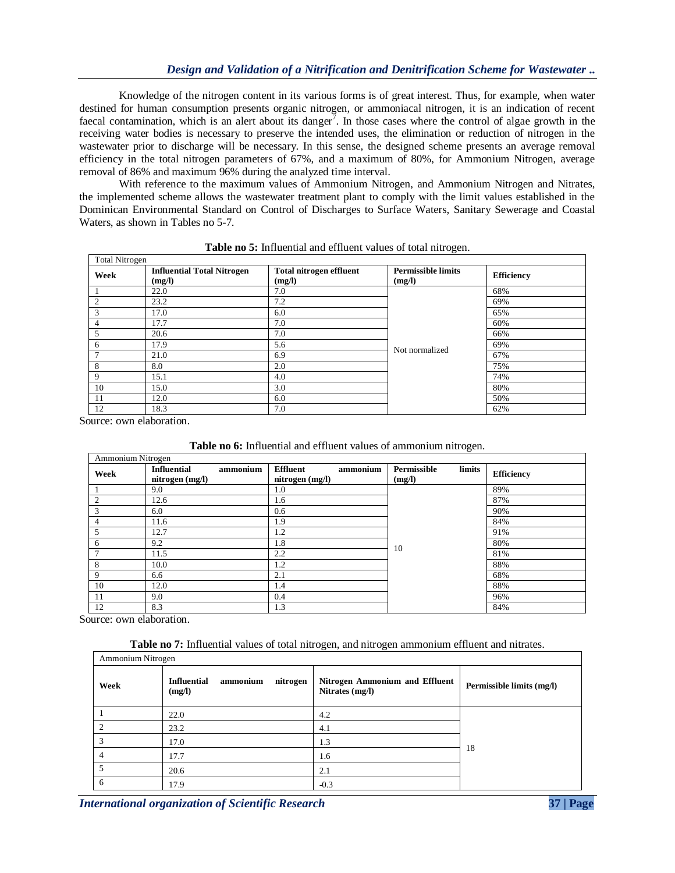Knowledge of the nitrogen content in its various forms is of great interest. Thus, for example, when water destined for human consumption presents organic nitrogen, or ammoniacal nitrogen, it is an indication of recent faecal contamination, which is an alert about its danger<sup>7</sup>. In those cases where the control of algae growth in the receiving water bodies is necessary to preserve the intended uses, the elimination or reduction of nitrogen in the wastewater prior to discharge will be necessary. In this sense, the designed scheme presents an average removal efficiency in the total nitrogen parameters of 67%, and a maximum of 80%, for Ammonium Nitrogen, average removal of 86% and maximum 96% during the analyzed time interval.

With reference to the maximum values of Ammonium Nitrogen, and Ammonium Nitrogen and Nitrates, the implemented scheme allows the wastewater treatment plant to comply with the limit values established in the Dominican Environmental Standard on Control of Discharges to Surface Waters, Sanitary Sewerage and Coastal Waters, as shown in Tables no 5-7.

|      | <b>Total Nitrogen</b>                       |                                          |                                     |            |  |  |  |
|------|---------------------------------------------|------------------------------------------|-------------------------------------|------------|--|--|--|
| Week | <b>Influential Total Nitrogen</b><br>(mg/l) | <b>Total nitrogen effluent</b><br>(mg/l) | <b>Permissible limits</b><br>(mg/l) | Efficiency |  |  |  |
|      | 22.0                                        | 7.0                                      |                                     | 68%        |  |  |  |
| 2    | 23.2                                        | 7.2                                      |                                     | 69%        |  |  |  |
| 3    | 17.0                                        | 6.0                                      |                                     | 65%        |  |  |  |
| 4    | 17.7                                        | 7.0                                      |                                     | 60%        |  |  |  |
| 5    | 20.6                                        | 7.0                                      |                                     | 66%        |  |  |  |
| 6    | 17.9                                        | 5.6                                      | Not normalized                      | 69%        |  |  |  |
| ⇁    | 21.0                                        | 6.9                                      |                                     | 67%        |  |  |  |
| 8    | 8.0                                         | 2.0                                      |                                     | 75%        |  |  |  |
| 9    | 15.1                                        | 4.0                                      |                                     | 74%        |  |  |  |
| 10   | 15.0                                        | 3.0                                      |                                     | 80%        |  |  |  |
| 11   | 12.0                                        | 6.0                                      |                                     | 50%        |  |  |  |
| 12   | 18.3                                        | 7.0                                      |                                     | 62%        |  |  |  |

|  | Table no 5: Influential and effluent values of total nitrogen. |  |  |  |
|--|----------------------------------------------------------------|--|--|--|
|  |                                                                |  |  |  |

Source: own elaboration.

| Table no 6: Influential and effluent values of ammonium nitrogen. |  |  |  |  |  |  |  |
|-------------------------------------------------------------------|--|--|--|--|--|--|--|
|-------------------------------------------------------------------|--|--|--|--|--|--|--|

| Ammonium Nitrogen |                                                   |                                                |                                 |                   |  |  |  |
|-------------------|---------------------------------------------------|------------------------------------------------|---------------------------------|-------------------|--|--|--|
| Week              | ammonium<br><b>Influential</b><br>nitrogen (mg/l) | <b>Effluent</b><br>ammonium<br>nitrogen (mg/l) | limits<br>Permissible<br>(mg/l) | <b>Efficiency</b> |  |  |  |
|                   | 9.0                                               | 1.0                                            |                                 | 89%               |  |  |  |
| $\overline{c}$    | 12.6                                              | 1.6                                            |                                 | 87%               |  |  |  |
| 3                 | 6.0                                               | 0.6                                            |                                 | 90%               |  |  |  |
| 4                 | 11.6                                              | 1.9                                            |                                 | 84%               |  |  |  |
| 5                 | 12.7                                              | 1.2                                            |                                 | 91%               |  |  |  |
| 6                 | 9.2                                               | 1.8                                            | 10                              | 80%               |  |  |  |
|                   | 11.5                                              | 2.2                                            |                                 | 81%               |  |  |  |
| 8                 | 10.0                                              | 1.2                                            |                                 | 88%               |  |  |  |
| 9                 | 6.6                                               | 2.1                                            |                                 | 68%               |  |  |  |
| 10                | 12.0                                              | 1.4                                            |                                 | 88%               |  |  |  |
| 11                | 9.0                                               | 0.4                                            |                                 | 96%               |  |  |  |
| 12                | 8.3                                               | 1.3                                            |                                 | 84%               |  |  |  |

| Ammonium Nitrogen |                                                      |                                                   |                           |  |  |  |
|-------------------|------------------------------------------------------|---------------------------------------------------|---------------------------|--|--|--|
| Week              | <b>Influential</b><br>ammonium<br>nitrogen<br>(mg/l) | Nitrogen Ammonium and Effluent<br>Nitrates (mg/l) | Permissible limits (mg/l) |  |  |  |
|                   | 22.0                                                 | 4.2                                               |                           |  |  |  |
|                   | 23.2                                                 | 4.1                                               |                           |  |  |  |
|                   | 17.0                                                 | 1.3                                               | 18                        |  |  |  |
|                   | 17.7                                                 | 1.6                                               |                           |  |  |  |
|                   | 20.6                                                 | 2.1                                               |                           |  |  |  |
| <sub>6</sub>      | 17.9                                                 | $-0.3$                                            |                           |  |  |  |

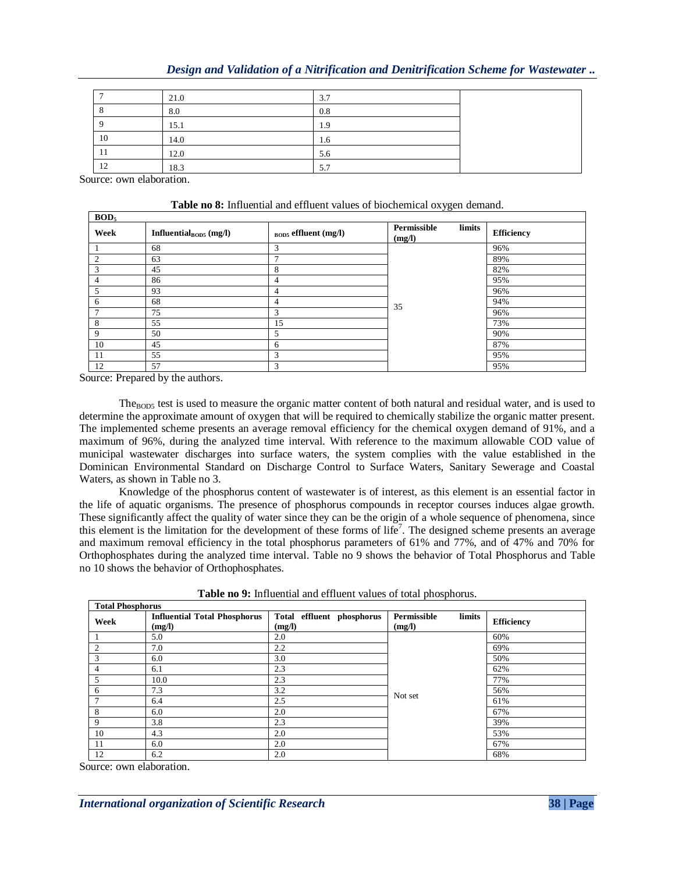|  |  | Design and Validation of a Nitrification and Denitrification Scheme for Wastewater |  |  |
|--|--|------------------------------------------------------------------------------------|--|--|
|  |  |                                                                                    |  |  |

|    | 21.0 | 3.7 |  |
|----|------|-----|--|
|    | 8.0  | 0.8 |  |
|    | 15.1 | 1.9 |  |
| 10 | 14.0 | 1.6 |  |
| 11 | 12.0 | 5.6 |  |
| 12 | 18.3 | 5.7 |  |

Source: own elaboration.

**BOD<sup>5</sup>**

| Table no 8: Influential and effluent values of biochemical oxygen demand. |  |
|---------------------------------------------------------------------------|--|
|---------------------------------------------------------------------------|--|

| Week           | Influential <sub>BOD5</sub> (mg/l) | $_{\text{BOD5}}$ effluent (mg/l) | Permissible<br>limits<br>(mg/l) | <b>Efficiency</b> |
|----------------|------------------------------------|----------------------------------|---------------------------------|-------------------|
|                | 68                                 | 3                                |                                 | 96%               |
| $\overline{c}$ | 63                                 | $\mathbf{r}$                     |                                 | 89%               |
| 3              | 45                                 | 8                                |                                 | 82%               |
| 4              | 86                                 | 4                                |                                 | 95%               |
| 5              | 93                                 | 4                                |                                 | 96%               |
| 6              | 68                                 | 4                                | 35                              | 94%               |
|                | 75                                 | 3                                |                                 | 96%               |
| 8              | 55                                 | 15                               |                                 | 73%               |
| 9              | 50                                 | 5                                |                                 | 90%               |
| 10             | 45                                 | 6                                |                                 | 87%               |
| 11             | 55                                 | 3                                |                                 | 95%               |
| 12             | 57                                 | 3                                |                                 | 95%               |

Source: Prepared by the authors.

The<sub>BOD5</sub> test is used to measure the organic matter content of both natural and residual water, and is used to determine the approximate amount of oxygen that will be required to chemically stabilize the organic matter present. The implemented scheme presents an average removal efficiency for the chemical oxygen demand of 91%, and a maximum of 96%, during the analyzed time interval. With reference to the maximum allowable COD value of municipal wastewater discharges into surface waters, the system complies with the value established in the Dominican Environmental Standard on Discharge Control to Surface Waters, Sanitary Sewerage and Coastal Waters, as shown in Table no 3.

Knowledge of the phosphorus content of wastewater is of interest, as this element is an essential factor in the life of aquatic organisms. The presence of phosphorus compounds in receptor courses induces algae growth. These significantly affect the quality of water since they can be the origin of a whole sequence of phenomena, since this element is the limitation for the development of these forms of life<sup>7</sup>. The designed scheme presents an average and maximum removal efficiency in the total phosphorus parameters of 61% and 77%, and of 47% and 70% for Orthophosphates during the analyzed time interval. Table no 9 shows the behavior of Total Phosphorus and Table no 10 shows the behavior of Orthophosphates.

| <b>Total Phosphorus</b> |                                               |                                     |                                 |                   |  |  |
|-------------------------|-----------------------------------------------|-------------------------------------|---------------------------------|-------------------|--|--|
| Week                    | <b>Influential Total Phosphorus</b><br>(mg/l) | Total effluent phosphorus<br>(mg/l) | limits<br>Permissible<br>(mg/l) | <b>Efficiency</b> |  |  |
|                         | 5.0                                           | 2.0                                 |                                 | 60%               |  |  |
|                         | 7.0                                           | 2.2                                 |                                 | 69%               |  |  |
| 3                       | 6.0                                           | 3.0                                 |                                 | 50%               |  |  |
| 4                       | 6.1                                           | 2.3                                 |                                 | 62%               |  |  |
| 5                       | 10.0                                          | 2.3                                 |                                 | 77%               |  |  |
| 6                       | 7.3                                           | 3.2                                 | Not set                         | 56%               |  |  |
|                         | 6.4                                           | 2.5                                 |                                 | 61%               |  |  |
| 8                       | 6.0                                           | 2.0                                 |                                 | 67%               |  |  |
| 9                       | 3.8                                           | 2.3                                 |                                 | 39%               |  |  |
| 10                      | 4.3                                           | 2.0                                 |                                 | 53%               |  |  |
| 11                      | 6.0                                           | 2.0                                 |                                 | 67%               |  |  |
| 12                      | 6.2                                           | 2.0                                 |                                 | 68%               |  |  |

**Table no 9:** Influential and effluent values of total phosphorus.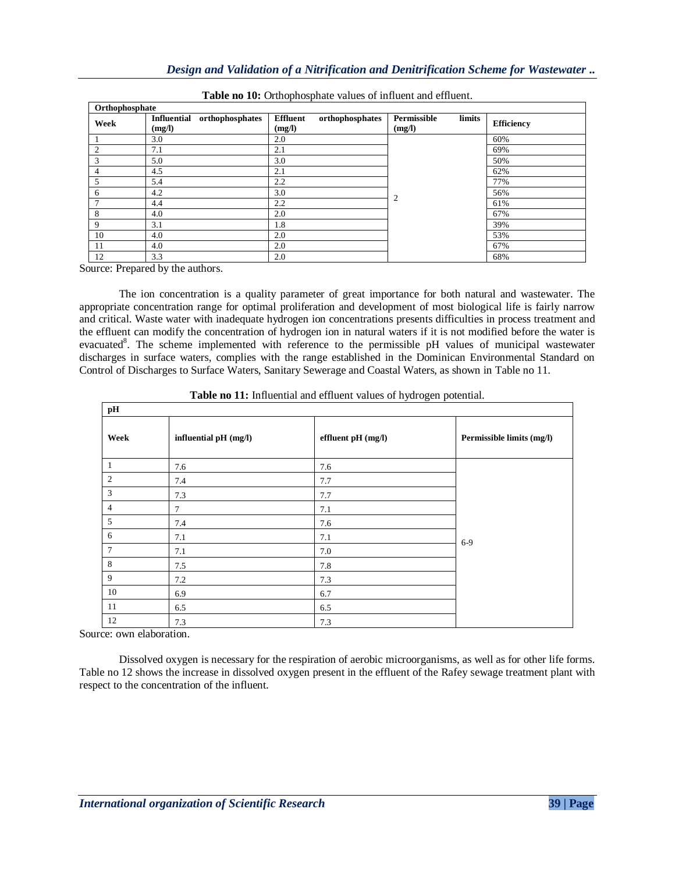| Orthophosphate |                                                 |                                              |                                 |                   |  |  |
|----------------|-------------------------------------------------|----------------------------------------------|---------------------------------|-------------------|--|--|
| Week           | orthophosphates<br><b>Influential</b><br>(mg/l) | <b>Effluent</b><br>orthophosphates<br>(mg/l) | limits<br>Permissible<br>(mg/l) | <b>Efficiency</b> |  |  |
|                | 3.0                                             | 2.0                                          |                                 | 60%               |  |  |
| 2              | 7.1                                             | 2.1                                          |                                 | 69%               |  |  |
| 3              | 5.0                                             | 3.0                                          |                                 | 50%               |  |  |
| 4              | 4.5                                             | 2.1                                          |                                 | 62%               |  |  |
| 5              | 5.4                                             | 2.2                                          |                                 | 77%               |  |  |
| 6              | 4.2                                             | 3.0                                          | 2                               | 56%               |  |  |
| −              | 4.4                                             | 2.2                                          |                                 | 61%               |  |  |
| 8              | 4.0                                             | 2.0                                          |                                 | 67%               |  |  |
| 9              | 3.1                                             | 1.8                                          |                                 | 39%               |  |  |
| 10             | 4.0                                             | 2.0                                          |                                 | 53%               |  |  |
| 11             | 4.0                                             | 2.0                                          |                                 | 67%               |  |  |
| 12             | 3.3                                             | 2.0                                          |                                 | 68%               |  |  |

|  | Table no 10: Orthophosphate values of influent and effluent. |
|--|--------------------------------------------------------------|
|--|--------------------------------------------------------------|

Source: Prepared by the authors.

The ion concentration is a quality parameter of great importance for both natural and wastewater. The appropriate concentration range for optimal proliferation and development of most biological life is fairly narrow and critical. Waste water with inadequate hydrogen ion concentrations presents difficulties in process treatment and the effluent can modify the concentration of hydrogen ion in natural waters if it is not modified before the water is evacuated<sup>8</sup>. The scheme implemented with reference to the permissible pH values of municipal wastewater discharges in surface waters, complies with the range established in the Dominican Environmental Standard on Control of Discharges to Surface Waters, Sanitary Sewerage and Coastal Waters, as shown in Table no 11.

| $\mathbf{p} \mathbf{H}$ |                       |                    |                           |  |  |
|-------------------------|-----------------------|--------------------|---------------------------|--|--|
| Week                    | influential pH (mg/l) | effluent pH (mg/l) | Permissible limits (mg/l) |  |  |
| 1                       | 7.6                   | 7.6                |                           |  |  |
| 2                       | 7.4                   | 7.7                |                           |  |  |
| 3                       | 7.3                   | 7.7                |                           |  |  |
| 4                       | 7                     | 7.1                |                           |  |  |
| 5                       | 7.4                   | 7.6                |                           |  |  |
| 6                       | 7.1                   | 7.1                | $6-9$                     |  |  |
| 7                       | 7.1                   | 7.0                |                           |  |  |
| 8                       | 7.5                   | 7.8                |                           |  |  |
| 9                       | 7.2                   | 7.3                |                           |  |  |
| 10                      | 6.9                   | 6.7                |                           |  |  |
| 11                      | 6.5                   | 6.5                |                           |  |  |
| 12                      | 7.3                   | 7.3                |                           |  |  |

**Table no 11:** Influential and effluent values of hydrogen potential.

Source: own elaboration.

Dissolved oxygen is necessary for the respiration of aerobic microorganisms, as well as for other life forms. Table no 12 shows the increase in dissolved oxygen present in the effluent of the Rafey sewage treatment plant with respect to the concentration of the influent.

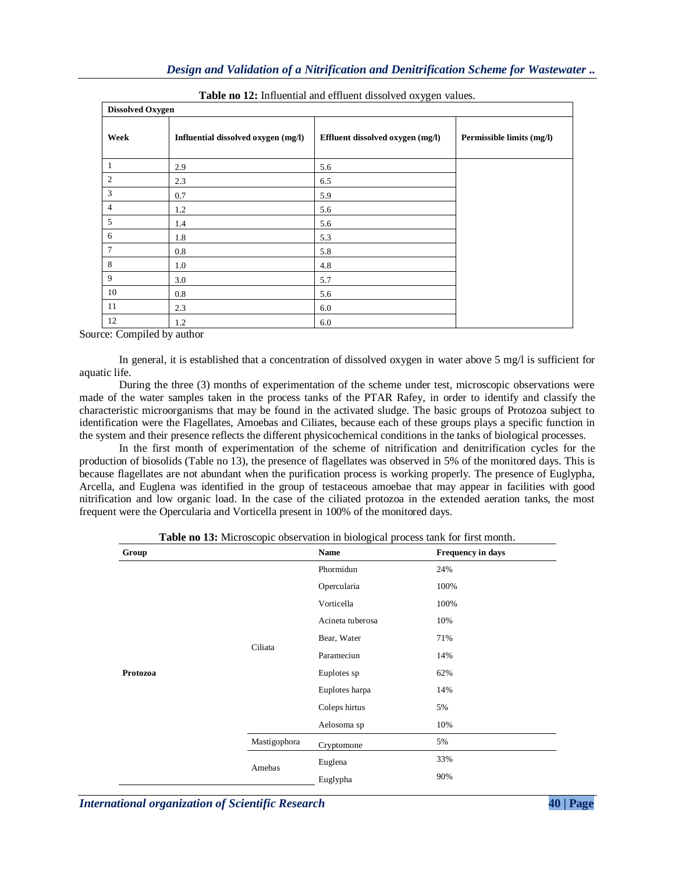| <b>Dissolved Oxygen</b> |                                     |                                  |                           |  |  |
|-------------------------|-------------------------------------|----------------------------------|---------------------------|--|--|
| Week                    | Influential dissolved oxygen (mg/l) | Effluent dissolved oxygen (mg/l) | Permissible limits (mg/l) |  |  |
|                         | 2.9                                 | 5.6                              |                           |  |  |
| 2                       | 2.3                                 | 6.5                              |                           |  |  |
| 3                       | 0.7                                 | 5.9                              |                           |  |  |
| $\overline{4}$          | 1.2                                 | 5.6                              |                           |  |  |
| 5                       | 1.4                                 | 5.6                              |                           |  |  |
| 6                       | 1.8                                 | 5.3                              |                           |  |  |
| 7                       | 0.8                                 | 5.8                              |                           |  |  |
| 8                       | 1.0                                 | 4.8                              |                           |  |  |
| 9                       | 3.0                                 | 5.7                              |                           |  |  |
| 10                      | 0.8                                 | 5.6                              |                           |  |  |
| 11                      | 2.3                                 | 6.0                              |                           |  |  |
| 12                      | 1.2                                 | 6.0                              |                           |  |  |

**Table no 12:** Influential and effluent dissolved oxygen values.

Source: Compiled by author

In general, it is established that a concentration of dissolved oxygen in water above 5 mg/l is sufficient for aquatic life.

During the three (3) months of experimentation of the scheme under test, microscopic observations were made of the water samples taken in the process tanks of the PTAR Rafey, in order to identify and classify the characteristic microorganisms that may be found in the activated sludge. The basic groups of Protozoa subject to identification were the Flagellates, Amoebas and Ciliates, because each of these groups plays a specific function in the system and their presence reflects the different physicochemical conditions in the tanks of biological processes.

In the first month of experimentation of the scheme of nitrification and denitrification cycles for the production of biosolids (Table no 13), the presence of flagellates was observed in 5% of the monitored days. This is because flagellates are not abundant when the purification process is working properly. The presence of Euglypha, Arcella, and Euglena was identified in the group of testaceous amoebae that may appear in facilities with good nitrification and low organic load. In the case of the ciliated protozoa in the extended aeration tanks, the most frequent were the Opercularia and Vorticella present in 100% of the monitored days.

| Group    |              | Name             | Frequency in days |
|----------|--------------|------------------|-------------------|
|          |              | Phormidun        | 24%               |
|          |              | Opercularia      | 100%              |
|          |              | Vorticella       | 100%              |
|          |              | Acineta tuberosa | 10%               |
|          |              | Bear, Water      | 71%               |
|          | Ciliata      | Parameciun       | 14%               |
| Protozoa |              | Euplotes sp      | 62%               |
|          |              | Euplotes harpa   | 14%               |
|          |              | Coleps hirtus    | 5%                |
|          |              | Aelosoma sp      | 10%               |
|          | Mastigophora | Cryptomone       | 5%                |
|          | Amebas       | Euglena          | 33%               |
|          |              | Euglypha         | 90%               |

**Table no 13:** Microscopic observation in biological process tank for first month.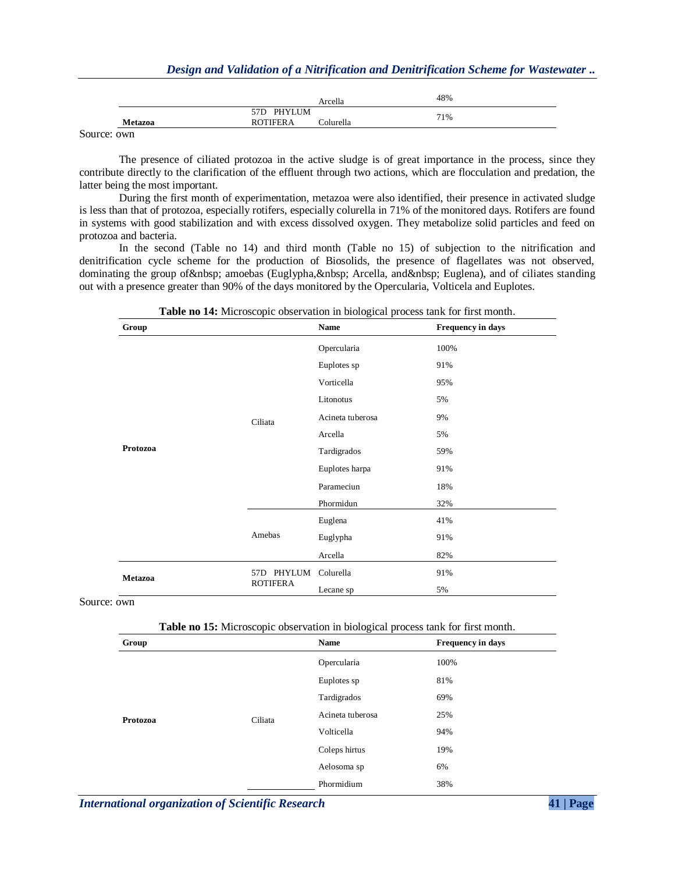|                | Arcella                      | 48% |
|----------------|------------------------------|-----|
|                | PHYLUM<br>57 <sub>D</sub>    |     |
| <b>Metazoa</b> | <b>ROTIFERA</b><br>Colurella | 71% |
|                |                              |     |

Source: own

The presence of ciliated protozoa in the active sludge is of great importance in the process, since they contribute directly to the clarification of the effluent through two actions, which are flocculation and predation, the latter being the most important.

During the first month of experimentation, metazoa were also identified, their presence in activated sludge is less than that of protozoa, especially rotifers, especially colurella in 71% of the monitored days. Rotifers are found in systems with good stabilization and with excess dissolved oxygen. They metabolize solid particles and feed on protozoa and bacteria.

In the second (Table no 14) and third month (Table no 15) of subjection to the nitrification and denitrification cycle scheme for the production of Biosolids, the presence of flagellates was not observed, dominating the group of amoebas (Euglypha, Arcella, and Euglena), and of ciliates standing out with a presence greater than 90% of the days monitored by the Opercularia, Volticela and Euplotes.

| Group          |                           | Name             | Frequency in days |
|----------------|---------------------------|------------------|-------------------|
|                |                           | Opercularia      | 100%              |
|                |                           | Euplotes sp      | 91%               |
|                |                           | Vorticella       | 95%               |
|                |                           | Litonotus        | 5%                |
|                | Ciliata                   | Acineta tuberosa | 9%                |
|                |                           | Arcella          | 5%                |
| Protozoa       |                           | Tardigrados      | 59%               |
|                | Amebas                    | Euplotes harpa   | 91%               |
|                |                           | Parameciun       | 18%               |
|                |                           | Phormidun        | 32%               |
|                |                           | Euglena          | 41%               |
|                |                           | Euglypha         | 91%               |
|                |                           | Arcella          | 82%               |
| <b>Metazoa</b> | PHYLUM<br>57 <sub>D</sub> | Colurella        | 91%               |
|                | <b>ROTIFERA</b>           | Lecane sp        | 5%                |

**Table no 14:** Microscopic observation in biological process tank for first month.

Source: own

|  |  | Table no 15: Microscopic observation in biological process tank for first month. |
|--|--|----------------------------------------------------------------------------------|
|  |  |                                                                                  |

| Group    |         | Name             | Frequency in days |
|----------|---------|------------------|-------------------|
|          | Ciliata | Opercularia      | 100%              |
|          |         | Euplotes sp      | 81%               |
|          |         | Tardigrados      | 69%               |
| Protozoa |         | Acineta tuberosa | 25%               |
|          |         | Volticella       | 94%               |
|          |         | Coleps hirtus    | 19%               |
|          |         | Aelosoma sp      | 6%                |
|          |         | Phormidium       | 38%               |